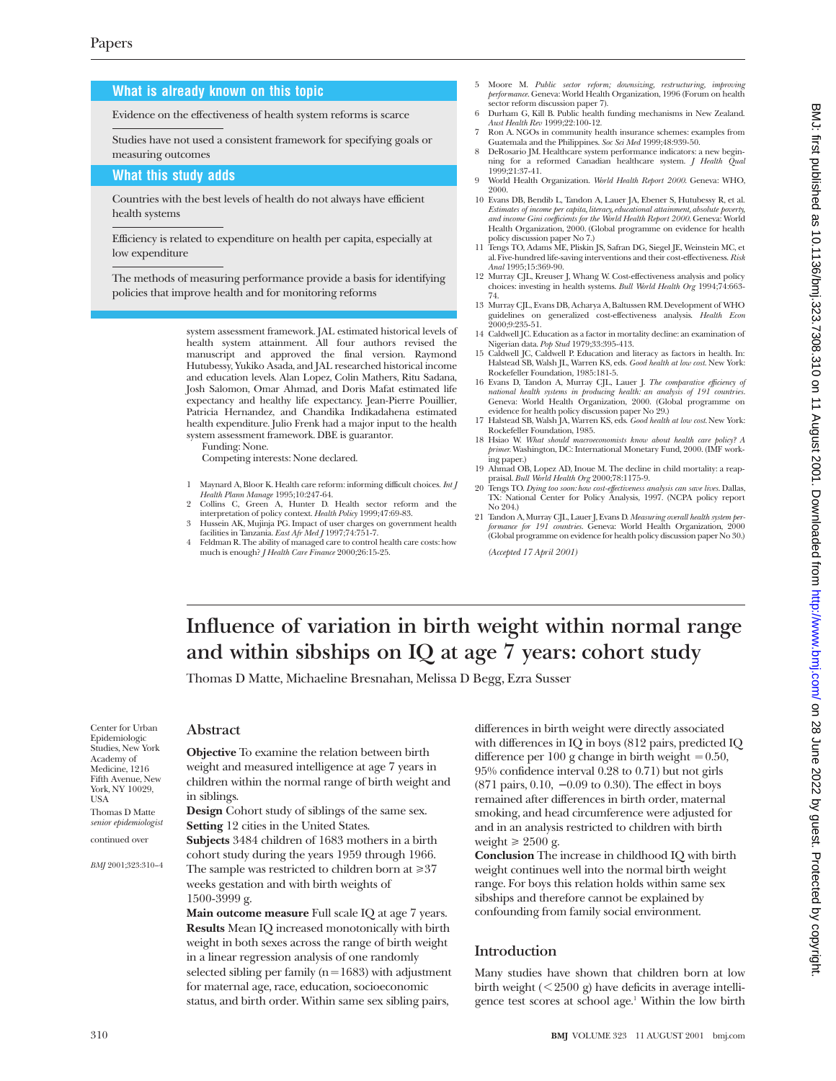# **What is already known on this topic**

Evidence on the effectiveness of health system reforms is scarce

Studies have not used a consistent framework for specifying goals or measuring outcomes

## **What this study adds**

Countries with the best levels of health do not always have efficient health systems

Efficiency is related to expenditure on health per capita, especially at low expenditure

The methods of measuring performance provide a basis for identifying policies that improve health and for monitoring reforms

> system assessment framework. JAL estimated historical levels of health system attainment. All four authors revised the manuscript and approved the final version. Raymond Hutubessy, Yukiko Asada, and JAL researched historical income and education levels. Alan Lopez, Colin Mathers, Ritu Sadana, Josh Salomon, Omar Ahmad, and Doris Mafat estimated life expectancy and healthy life expectancy. Jean-Pierre Pouillier, Patricia Hernandez, and Chandika Indikadahena estimated health expenditure. Julio Frenk had a major input to the health system assessment framework. DBE is guarantor.

Funding: None.

Competing interests: None declared.

- 1 Maynard A, Bloor K. Health care reform: informing difficult choices. *Int J Health Plann Manage* 1995;10:247-64.
- 2 Collins C, Green A, Hunter D. Health sector reform and the
- interpretation of policy context. *Health Policy* 1999;47:69-83. 3 Hussein AK, Mujinja PG. Impact of user charges on government health facilities in Tanzania. *East Afr Med J* 1997;74:751-7.
- 4 Feldman R. The ability of managed care to control health care costs: how much is enough? *J Health Care Finance* 2000;26:15-25.
- 5 Moore M. *Public sector reform; downsizing, restructuring, improving performance*. Geneva: World Health Organization, 1996 (Forum on health
- sector reform discussion paper 7). 6 Durham G, Kill B. Public health funding mechanisms in New Zealand. *Aust Health Rev* 1999;22:100-12.
- 7 Ron A. NGOs in community health insurance schemes: examples from Guatemala and the Philippines. *Soc Sci Med* 1999;48:939-50.
- 8 DeRosario JM. Healthcare system performance indicators: a new begin-ning for a reformed Canadian healthcare system. *J Health Qual* 1999-91-37-41
- 9 World Health Organization. *World Health Report 2000*. Geneva: WHO, 2000.
- 10 Evans DB, Bendib L, Tandon A, Lauer JA, Ebener S, Hutubessy R, et al. *Estimates of income per capita, literacy, educational attainment, absolute poverty, and income Gini coefficients for the World Health Report 2000*. Geneva: World Health Organization, 2000. (Global programme on evidence for health
- policy discussion paper No 7.) 11 Tengs TO, Adams ME, Pliskin JS, Safran DG, Siegel JE, Weinstein MC, et al. Five-hundred life-saving interventions and their cost-effectiveness. *Risk Anal* 1995;15:369-90.
- 12 Murray CJL, Kreuser J, Whang W. Cost-effectiveness analysis and policy choices: investing in health systems. *Bull World Health Org* 1994;74:663-
- 74. 13 Murray CJL, Evans DB, Acharya A, Baltussen RM. Development of WHO guidelines on generalized cost-effectiveness analysis. *Health Econ* 2000;9:235-51.
- 14 Caldwell JC. Education as a factor in mortality decline: an examination of Nigerian data. *Pop Stud* 1979;33:395-413. 15 Caldwell JC, Caldwell P. Education and literacy as factors in health. In:
- Halstead SB, Walsh JL, Warren KS, eds. *Good health at low cost*. New York: Rockefeller Foundation*,* 1985:181-5.
- 16 Evans D, Tandon A, Murray CJL, Lauer J. *The comparative efficiency of national health systems in producing health: an analysis of 191 countries*. Geneva: World Health Organization, 2000. (Global programme on evidence for health policy discussion paper No 29.)
- 17 Halstead SB, Walsh JA, Warren KS, eds. *Good health at low cost.* New York:
- Rockefeller Foundation, 1985. 18 Hsiao W. *What should macroeconomists know about health care policy? A primer.* Washington, DC: International Monetary Fund, 2000. (IMF working paper.)
- 19 Ahmad OB, Lopez AD, Inoue M. The decline in child mortality: a reappraisal. *Bull World Health Org* 2000;78:1175-9.
- 20 Tengs TO. *Dying too soon: how cost-effectiveness analysis can save lives*. Dallas, TX: National Center for Policy Analysis, 1997. (NCPA policy report No 204.)
- 21 Tandon A, Murray CJL, Lauer J, Evans D. *Measuring overall health system per-formance for 191 countries*. Geneva: World Health Organization, 2000 (Global programme on evidence for health policy discussion paper No 30.) *(Accepted 17 April 2001)*

# **Influence of variation in birth weight within normal range and within sibships on IQ at age 7 years: cohort study**

Thomas D Matte, Michaeline Bresnahan, Melissa D Begg, Ezra Susser

Center for Urban Epidemiologic Studies, New York Academy of Medicine, 1216 Fifth Avenue, New York, NY 10029, USA Thomas D Matte *senior epidemiologist*

continued over

*BMJ* 2001;323:310–4

## **Abstract**

**Objective** To examine the relation between birth weight and measured intelligence at age 7 years in children within the normal range of birth weight and in siblings.

**Design** Cohort study of siblings of the same sex. **Setting** 12 cities in the United States.

**Subjects** 3484 children of 1683 mothers in a birth cohort study during the years 1959 through 1966. The sample was restricted to children born at  $\geq 37$ weeks gestation and with birth weights of 1500-3999 g.

**Main outcome measure** Full scale IQ at age 7 years. **Results** Mean IQ increased monotonically with birth weight in both sexes across the range of birth weight in a linear regression analysis of one randomly selected sibling per family  $(n = 1683)$  with adjustment for maternal age, race, education, socioeconomic status, and birth order. Within same sex sibling pairs,

differences in birth weight were directly associated with differences in IQ in boys (812 pairs, predicted IQ difference per 100 g change in birth weight  $= 0.50$ , 95% confidence interval 0.28 to 0.71) but not girls (871 pairs, 0.10, − 0.09 to 0.30). The effect in boys remained after differences in birth order, maternal smoking, and head circumference were adjusted for and in an analysis restricted to children with birth weight  $\geq 2500$  g.

**Conclusion** The increase in childhood IQ with birth weight continues well into the normal birth weight range. For boys this relation holds within same sex sibships and therefore cannot be explained by confounding from family social environment.

# **Introduction**

Many studies have shown that children born at low birth weight  $(< 2500 \text{ g})$  have deficits in average intelligence test scores at school age.1 Within the low birth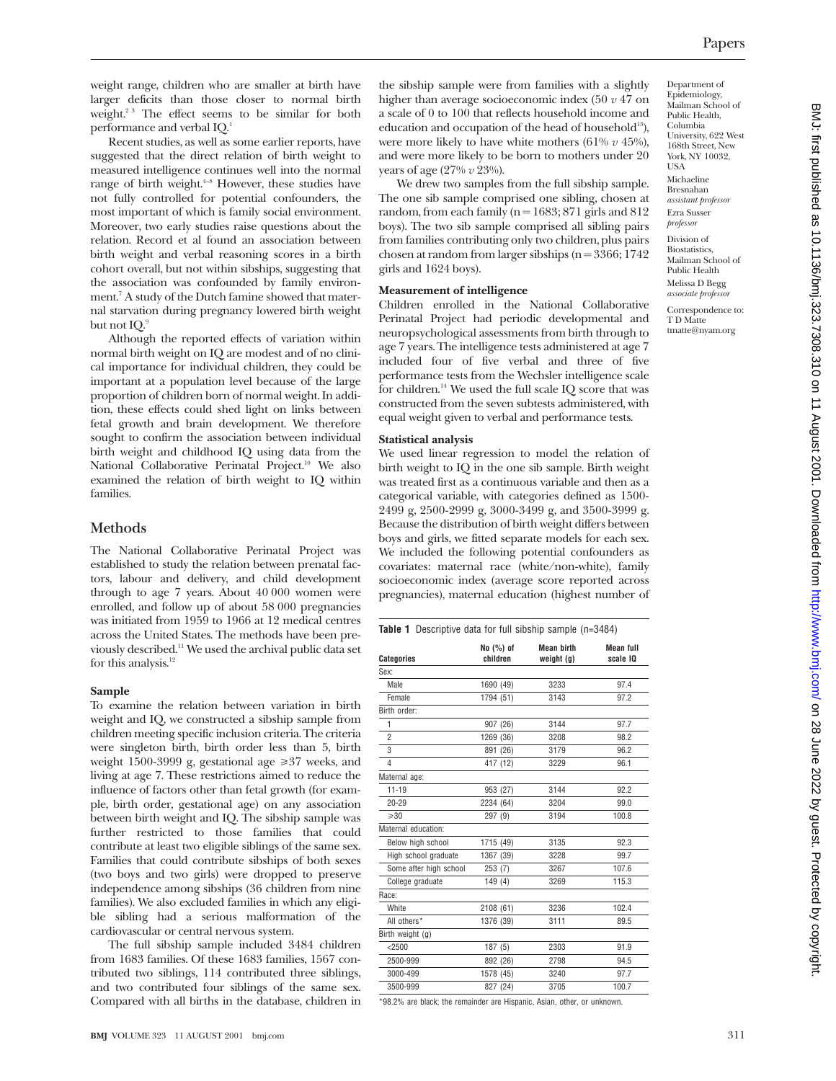Department of Epidemiology, Mailman School of Public Health, Columbia University, 622 West 168th Street, New York, NY 10032, USA Michaeline Bresnahan *assistant professor* Ezra Susser *professor* Division of Biostatistics, Mailman School of Public Health Melissa D Begg  $associate$  professo Correspondence to: T D Matte tmatte@nyam.org

BMJ: first published as 10.1136/bmj.323.7308.310 on 11 August 2001. Downloaded from http://www.bmj.com/ on 28 June 2022 by guest. Protected by copyright on 28 June 2022 by guest. Protected by copyright. <http://www.bmj.com/> BMJ: first published as 10.1136/bmj.323.7308.310 on 11 August 2001. Downloaded from

weight range, children who are smaller at birth have larger deficits than those closer to normal birth weight.<sup>2 3</sup> The effect seems to be similar for both performance and verbal IQ.1

Recent studies, as well as some earlier reports, have suggested that the direct relation of birth weight to measured intelligence continues well into the normal range of birth weight. $4-8$  However, these studies have not fully controlled for potential confounders, the most important of which is family social environment. Moreover, two early studies raise questions about the relation. Record et al found an association between birth weight and verbal reasoning scores in a birth cohort overall, but not within sibships, suggesting that the association was confounded by family environment.7 A study of the Dutch famine showed that maternal starvation during pregnancy lowered birth weight but not IQ.<sup>9</sup>

Although the reported effects of variation within normal birth weight on IQ are modest and of no clinical importance for individual children, they could be important at a population level because of the large proportion of children born of normal weight. In addition, these effects could shed light on links between fetal growth and brain development. We therefore sought to confirm the association between individual birth weight and childhood IQ using data from the National Collaborative Perinatal Project.<sup>10</sup> We also examined the relation of birth weight to IQ within families.

### **Methods**

The National Collaborative Perinatal Project was established to study the relation between prenatal factors, labour and delivery, and child development through to age 7 years. About 40 000 women were enrolled, and follow up of about 58 000 pregnancies was initiated from 1959 to 1966 at 12 medical centres across the United States. The methods have been previously described.11 We used the archival public data set for this analysis.<sup>12</sup>

#### **Sample**

To examine the relation between variation in birth weight and IQ, we constructed a sibship sample from children meeting specific inclusion criteria. The criteria were singleton birth, birth order less than 5, birth weight 1500-3999 g, gestational age  $\geq 37$  weeks, and living at age 7. These restrictions aimed to reduce the influence of factors other than fetal growth (for example, birth order, gestational age) on any association between birth weight and IQ. The sibship sample was further restricted to those families that could contribute at least two eligible siblings of the same sex. Families that could contribute sibships of both sexes (two boys and two girls) were dropped to preserve independence among sibships (36 children from nine families). We also excluded families in which any eligible sibling had a serious malformation of the cardiovascular or central nervous system.

The full sibship sample included 3484 children from 1683 families. Of these 1683 families, 1567 contributed two siblings, 114 contributed three siblings, and two contributed four siblings of the same sex. Compared with all births in the database, children in

**BMJ** VOLUME 323 11 AUGUST 2001 bmj.com 311

the sibship sample were from families with a slightly higher than average socioeconomic index (50 *v* 47 on a scale of 0 to 100 that reflects household income and education and occupation of the head of household<sup>13</sup>), were more likely to have white mothers (61% *v* 45%), and were more likely to be born to mothers under 20 years of age (27% *v* 23%).

We drew two samples from the full sibship sample. The one sib sample comprised one sibling, chosen at random, from each family ( $n = 1683$ ; 871 girls and 812 boys). The two sib sample comprised all sibling pairs from families contributing only two children, plus pairs chosen at random from larger sibships ( $n = 3366$ ; 1742 girls and 1624 boys).

#### **Measurement of intelligence**

Children enrolled in the National Collaborative Perinatal Project had periodic developmental and neuropsychological assessments from birth through to age 7 years. The intelligence tests administered at age 7 included four of five verbal and three of five performance tests from the Wechsler intelligence scale for children.<sup>14</sup> We used the full scale IQ score that was constructed from the seven subtests administered, with equal weight given to verbal and performance tests.

#### **Statistical analysis**

We used linear regression to model the relation of birth weight to IQ in the one sib sample. Birth weight was treated first as a continuous variable and then as a categorical variable, with categories defined as 1500- 2499 g, 2500-2999 g, 3000-3499 g, and 3500-3999 g. Because the distribution of birth weight differs between boys and girls, we fitted separate models for each sex. We included the following potential confounders as covariates: maternal race (white/non-white), family socioeconomic index (average score reported across pregnancies), maternal education (highest number of

| <b>Table 1</b> Descriptive data for full sibship sample (n=3484) |  |  |  |
|------------------------------------------------------------------|--|--|--|

| <b>Categories</b>      | No (%) of<br>children | Mean birth<br>weight $(g)$ | <b>Mean full</b><br>scale IQ |  |
|------------------------|-----------------------|----------------------------|------------------------------|--|
| Sex:                   |                       |                            |                              |  |
| Male                   | 1690 (49)             | 3233                       | 97.4                         |  |
| Female                 | 1794 (51)             | 3143                       | 97.2                         |  |
| Birth order:           |                       |                            |                              |  |
| 1                      | 907 (26)              | 3144                       | 97.7                         |  |
| $\overline{2}$         | 1269 (36)             | 3208                       | 98.2                         |  |
| 3                      | 891 (26)              | 3179                       | 96.2                         |  |
| 4                      | 417 (12)              | 3229                       | 96.1                         |  |
| Maternal age:          |                       |                            |                              |  |
| $11 - 19$              | 953 (27)              | 3144                       | 92.2                         |  |
| $20 - 29$              | 2234 (64)             | 3204                       | 99.0                         |  |
| $\geqslant$ 30         | 297(9)                | 3194                       | 100.8                        |  |
| Maternal education:    |                       |                            |                              |  |
| Below high school      | 1715 (49)             | 3135                       | 92.3                         |  |
| High school graduate   | 1367 (39)             | 3228                       | 99.7                         |  |
| Some after high school | 253(7)                | 3267                       | 107.6                        |  |
| College graduate       | 149(4)                | 3269                       | 115.3                        |  |
| Race:                  |                       |                            |                              |  |
| White                  | 2108 (61)             | 3236                       | 102.4                        |  |
| All others*            | 1376 (39)             | 3111                       | 89.5                         |  |
| Birth weight (g)       |                       |                            |                              |  |
| < 2500                 | 187(5)                | 2303                       | 91.9                         |  |
| 2500-999               | 892 (26)              | 2798                       | 94.5                         |  |
| 3000-499               | 1578 (45)             | 3240                       | 97.7                         |  |
| 3500-999               | 827 (24)              | 3705                       | 100.7                        |  |

\*98.2% are black; the remainder are Hispanic, Asian, other, or unknown.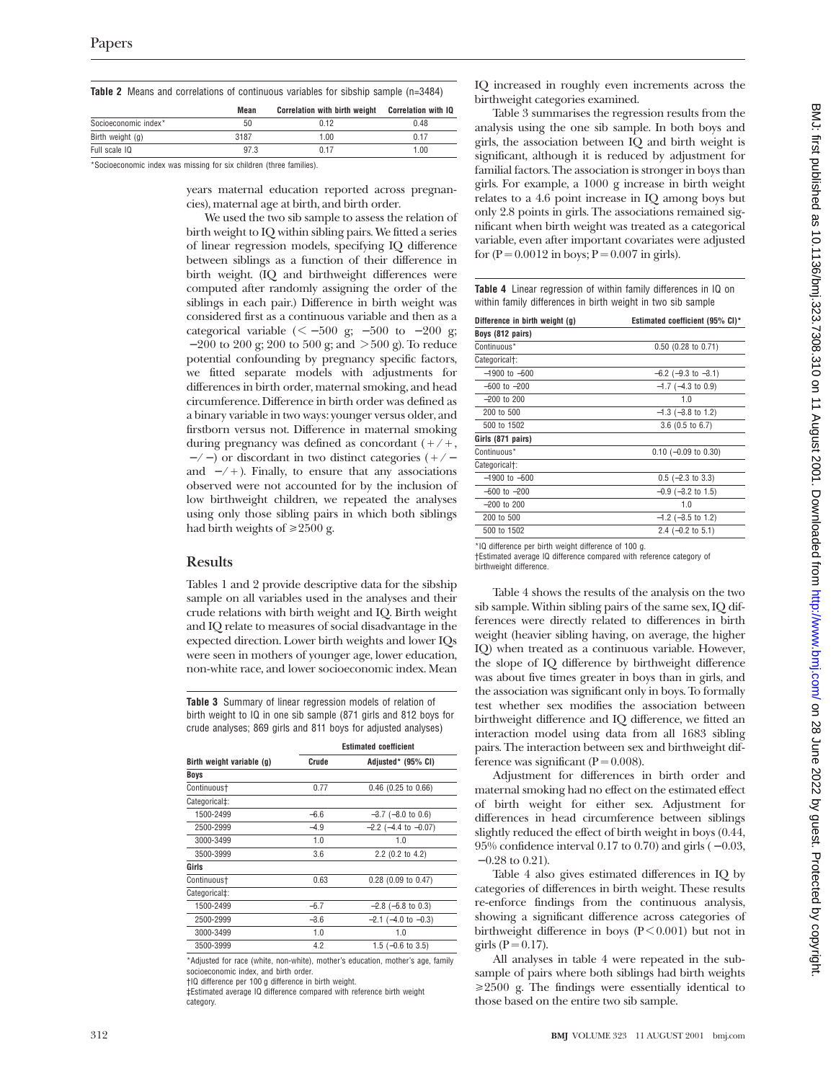|  |  |  | <b>Table 2</b> Means and correlations of continuous variables for sibship sample (n=3484) |  |  |  |  |  |  |  |
|--|--|--|-------------------------------------------------------------------------------------------|--|--|--|--|--|--|--|
|--|--|--|-------------------------------------------------------------------------------------------|--|--|--|--|--|--|--|

|                      | Mean | Correlation with birth weight | <b>Correlation with IQ</b> |
|----------------------|------|-------------------------------|----------------------------|
| Socioeconomic index* | 50   | 0.12                          | 0.48                       |
| Birth weight (g)     | 3187 | 1.00                          | 0.17                       |
| Full scale IQ        | 97.3 | 0.17                          | 1.00                       |
|                      |      |                               |                            |

\*Socioeconomic index was missing for six children (three families).

years maternal education reported across pregnancies), maternal age at birth, and birth order.

We used the two sib sample to assess the relation of birth weight to IQ within sibling pairs. We fitted a series of linear regression models, specifying IQ difference between siblings as a function of their difference in birth weight. (IQ and birthweight differences were computed after randomly assigning the order of the siblings in each pair.) Difference in birth weight was considered first as a continuous variable and then as a categorical variable  $(< -500 \text{ g}; -500 \text{ to } -200 \text{ g};$ − 200 to 200 g; 200 to 500 g; and > 500 g). To reduce potential confounding by pregnancy specific factors, we fitted separate models with adjustments for differences in birth order, maternal smoking, and head circumference. Difference in birth order was defined as a binary variable in two ways: younger versus older, and firstborn versus not. Difference in maternal smoking during pregnancy was defined as concordant  $(+/-)$ ,  $-/-$ ) or discordant in two distinct categories ( $+/$ and  $-\prime +$ ). Finally, to ensure that any associations observed were not accounted for by the inclusion of low birthweight children, we repeated the analyses using only those sibling pairs in which both siblings had birth weights of  $\geq 2500$  g.

## **Results**

Tables 1 and 2 provide descriptive data for the sibship sample on all variables used in the analyses and their crude relations with birth weight and IQ. Birth weight and IQ relate to measures of social disadvantage in the expected direction. Lower birth weights and lower IQs were seen in mothers of younger age, lower education, non-white race, and lower socioeconomic index. Mean

**Table 3** Summary of linear regression models of relation of birth weight to IQ in one sib sample (871 girls and 812 boys for crude analyses; 869 girls and 811 boys for adjusted analyses)

|                           | <b>Estimated coefficient</b> |                              |  |  |  |
|---------------------------|------------------------------|------------------------------|--|--|--|
| Birth weight variable (g) | Crude                        | Adjusted* (95% CI)           |  |  |  |
| Boys                      |                              |                              |  |  |  |
| Continuous†               | 0.77                         | $0.46$ (0.25 to 0.66)        |  |  |  |
| Categorical‡:             |                              |                              |  |  |  |
| 1500-2499                 | $-6.6$                       | $-3.7$ ( $-8.0$ to 0.6)      |  |  |  |
| 2500-2999                 | $-4.9$                       | $-2.2$ ( $-4.4$ to $-0.07$ ) |  |  |  |
| 3000-3499                 | 1.0                          | 1.0                          |  |  |  |
| 3500-3999                 | 3.6                          | $2.2$ (0.2 to 4.2)           |  |  |  |
| Girls                     |                              |                              |  |  |  |
| Continuous†               | 0.63                         | 0.28 (0.09 to 0.47)          |  |  |  |
| Categorical‡:             |                              |                              |  |  |  |
| 1500-2499                 | $-5.7$                       | $-2.8$ ( $-5.8$ to 0.3)      |  |  |  |
| 2500-2999                 | $-3.6$                       | $-2.1$ ( $-4.0$ to $-0.3$ )  |  |  |  |
| 3000-3499                 | 1.0                          | 1.0                          |  |  |  |
| 3500-3999                 | 4.2                          | $1.5$ (-0.6 to 3.5)          |  |  |  |

\*Adjusted for race (white, non-white), mother's education, mother's age, family socioeconomic index, and birth order

†IQ difference per 100 g difference in birth weight.

‡Estimated average IQ difference compared with reference birth weight category.

IQ increased in roughly even increments across the birthweight categories examined.

Table 3 summarises the regression results from the analysis using the one sib sample. In both boys and girls, the association between IQ and birth weight is significant, although it is reduced by adjustment for familial factors. The association is stronger in boys than girls. For example, a 1000 g increase in birth weight relates to a 4.6 point increase in IQ among boys but only 2.8 points in girls. The associations remained significant when birth weight was treated as a categorical variable, even after important covariates were adjusted for  $(P = 0.0012$  in boys;  $P = 0.007$  in girls).

**Table 4** Linear regression of within family differences in IQ on within family differences in birth weight in two sib sample

| Difference in birth weight (q) | Estimated coefficient (95% CI)* |  |  |  |
|--------------------------------|---------------------------------|--|--|--|
| Boys (812 pairs)               |                                 |  |  |  |
| Continuous*                    | $0.50$ (0.28 to 0.71)           |  |  |  |
| Categorical <sup>+</sup> :     |                                 |  |  |  |
| $-1900$ to $-500$              | $-6.2$ ( $-9.3$ to $-3.1$ )     |  |  |  |
| $-500$ to $-200$               | $-1.7$ ( $-4.3$ to 0.9)         |  |  |  |
| $-200$ to 200                  | 1.0                             |  |  |  |
| 200 to 500                     | $-1.3$ ( $-3.8$ to 1.2)         |  |  |  |
| 500 to 1502                    | $3.6$ (0.5 to 6.7)              |  |  |  |
| Girls (871 pairs)              |                                 |  |  |  |
| Continuous*                    | $0.10$ (-0.09 to 0.30)          |  |  |  |
| Categorical <sup>+</sup> :     |                                 |  |  |  |
| $-1900$ to $-500$              | $0.5$ (-2.3 to 3.3)             |  |  |  |
| $-500$ to $-200$               | $-0.9$ ( $-3.2$ to 1.5)         |  |  |  |
| $-200$ to $200$                | 1.0                             |  |  |  |
| 200 to 500                     | $-1.2$ ( $-3.5$ to 1.2)         |  |  |  |
| 500 to 1502                    | $2.4$ (-0.2 to 5.1)             |  |  |  |

\*IQ difference per birth weight difference of 100 g.

†Estimated average IQ difference compared with reference category of birthweight difference.

Table 4 shows the results of the analysis on the two sib sample. Within sibling pairs of the same sex, IQ differences were directly related to differences in birth weight (heavier sibling having, on average, the higher IQ) when treated as a continuous variable. However, the slope of IQ difference by birthweight difference was about five times greater in boys than in girls, and the association was significant only in boys. To formally test whether sex modifies the association between birthweight difference and IQ difference, we fitted an interaction model using data from all 1683 sibling pairs. The interaction between sex and birthweight difference was significant ( $P = 0.008$ ).

Adjustment for differences in birth order and maternal smoking had no effect on the estimated effect of birth weight for either sex. Adjustment for differences in head circumference between siblings slightly reduced the effect of birth weight in boys (0.44, 95% confidence interval 0.17 to 0.70) and girls ( − 0.03, − 0.28 to 0.21).

Table 4 also gives estimated differences in IQ by categories of differences in birth weight. These results re-enforce findings from the continuous analysis, showing a significant difference across categories of birthweight difference in boys  $(P < 0.001)$  but not in girls ( $P = 0.17$ ).

All analyses in table 4 were repeated in the subsample of pairs where both siblings had birth weights  $\geq 2500$  g. The findings were essentially identical to those based on the entire two sib sample.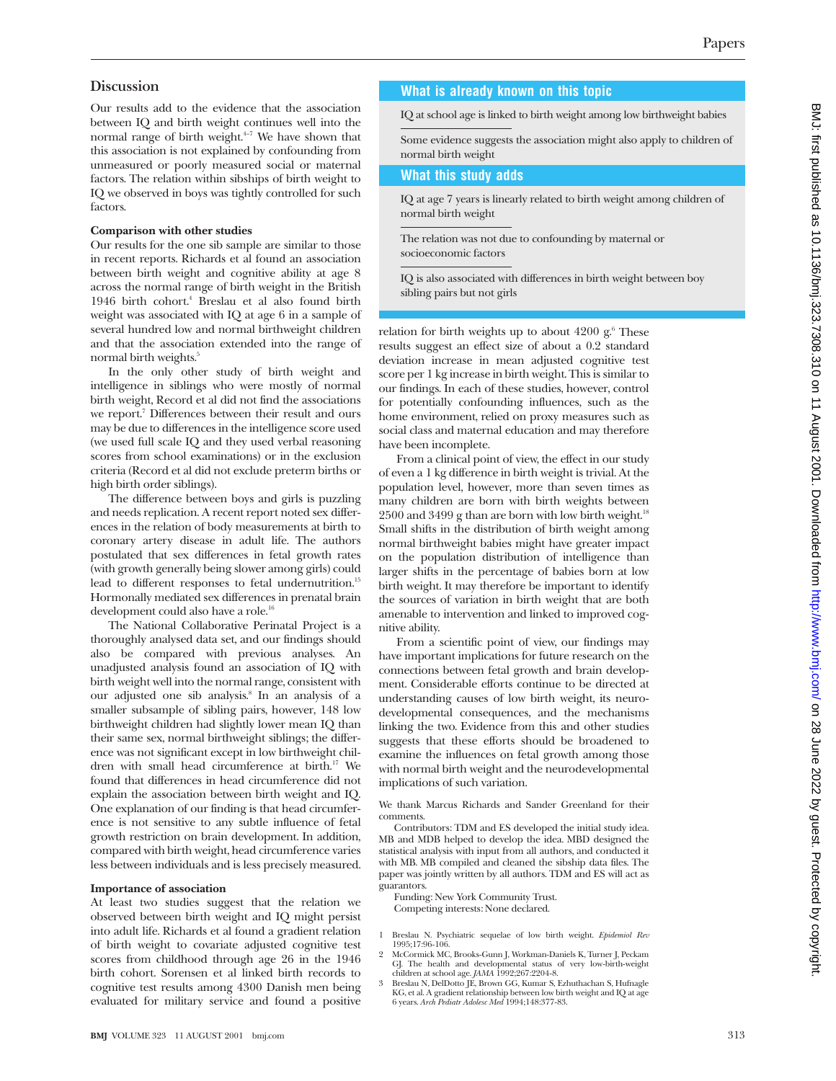## **Discussion**

Our results add to the evidence that the association between IQ and birth weight continues well into the normal range of birth weight. $4-7$  We have shown that this association is not explained by confounding from unmeasured or poorly measured social or maternal factors. The relation within sibships of birth weight to IQ we observed in boys was tightly controlled for such factors.

### **Comparison with other studies**

Our results for the one sib sample are similar to those in recent reports. Richards et al found an association between birth weight and cognitive ability at age 8 across the normal range of birth weight in the British 1946 birth cohort.<sup>4</sup> Breslau et al also found birth weight was associated with IQ at age 6 in a sample of several hundred low and normal birthweight children and that the association extended into the range of normal birth weights.<sup>5</sup>

In the only other study of birth weight and intelligence in siblings who were mostly of normal birth weight, Record et al did not find the associations we report.7 Differences between their result and ours may be due to differences in the intelligence score used (we used full scale IQ and they used verbal reasoning scores from school examinations) or in the exclusion criteria (Record et al did not exclude preterm births or high birth order siblings).

The difference between boys and girls is puzzling and needs replication. A recent report noted sex differences in the relation of body measurements at birth to coronary artery disease in adult life. The authors postulated that sex differences in fetal growth rates (with growth generally being slower among girls) could lead to different responses to fetal undernutrition.<sup>15</sup> Hormonally mediated sex differences in prenatal brain development could also have a role.<sup>16</sup>

The National Collaborative Perinatal Project is a thoroughly analysed data set, and our findings should also be compared with previous analyses. An unadjusted analysis found an association of IQ with birth weight well into the normal range, consistent with our adjusted one sib analysis.8 In an analysis of a smaller subsample of sibling pairs, however, 148 low birthweight children had slightly lower mean IQ than their same sex, normal birthweight siblings; the difference was not significant except in low birthweight children with small head circumference at birth.<sup>17</sup> We found that differences in head circumference did not explain the association between birth weight and IQ. One explanation of our finding is that head circumference is not sensitive to any subtle influence of fetal growth restriction on brain development. In addition, compared with birth weight, head circumference varies less between individuals and is less precisely measured.

#### **Importance of association**

At least two studies suggest that the relation we observed between birth weight and IQ might persist into adult life. Richards et al found a gradient relation of birth weight to covariate adjusted cognitive test scores from childhood through age 26 in the 1946 birth cohort. Sorensen et al linked birth records to cognitive test results among 4300 Danish men being evaluated for military service and found a positive

# **What is already known on this topic**

IQ at school age is linked to birth weight among low birthweight babies

Some evidence suggests the association might also apply to children of normal birth weight

## **What this study adds**

IQ at age 7 years is linearly related to birth weight among children of normal birth weight

The relation was not due to confounding by maternal or socioeconomic factors

IQ is also associated with differences in birth weight between boy sibling pairs but not girls

relation for birth weights up to about  $4200 \text{ g}$ . These results suggest an effect size of about a 0.2 standard deviation increase in mean adjusted cognitive test score per 1 kg increase in birth weight. This is similar to our findings. In each of these studies, however, control for potentially confounding influences, such as the home environment, relied on proxy measures such as social class and maternal education and may therefore have been incomplete.

From a clinical point of view, the effect in our study of even a 1 kg difference in birth weight is trivial. At the population level, however, more than seven times as many children are born with birth weights between  $2500$  and  $3499$  g than are born with low birth weight.<sup>18</sup> Small shifts in the distribution of birth weight among normal birthweight babies might have greater impact on the population distribution of intelligence than larger shifts in the percentage of babies born at low birth weight. It may therefore be important to identify the sources of variation in birth weight that are both amenable to intervention and linked to improved cognitive ability.

From a scientific point of view, our findings may have important implications for future research on the connections between fetal growth and brain development. Considerable efforts continue to be directed at understanding causes of low birth weight, its neurodevelopmental consequences, and the mechanisms linking the two. Evidence from this and other studies suggests that these efforts should be broadened to examine the influences on fetal growth among those with normal birth weight and the neurodevelopmental implications of such variation.

We thank Marcus Richards and Sander Greenland for their comments.

Contributors: TDM and ES developed the initial study idea. MB and MDB helped to develop the idea. MBD designed the statistical analysis with input from all authors, and conducted it with MB. MB compiled and cleaned the sibship data files. The paper was jointly written by all authors. TDM and ES will act as guarantors.

Funding: New York Community Trust.

Competing interests: None declared.

- 1 Breslau N. Psychiatric sequelae of low birth weight. *Epidemiol Rev* 1995;17:96-106.
- 2 McCormick MC, Brooks-Gunn J, Workman-Daniels K, Turner J, Peckam GJ. The health and developmental status of very low-birth-weight
- children at school age. *JAMA* 1992;267:2204-8. 3 Breslau N, DelDotto JE, Brown GG, Kumar S, Ezhuthachan S, Hufnagle KG, et al. A gradient relationship between low birth weight and IQ at age 6 years. *Arch Pediatr Adolesc Med* 1994;148:377-83.